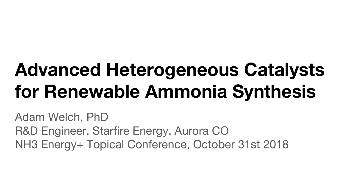# **Advanced Heterogeneous Catalysts for Renewable Ammonia Synthesis**

Adam Welch, PhD R&D Engineer, Starfire Energy, Aurora CO NH3 Energy+ Topical Conference, October 31st 2018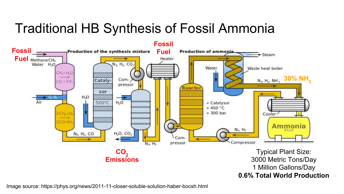### Traditional HB Synthesis of Fossil Ammonia

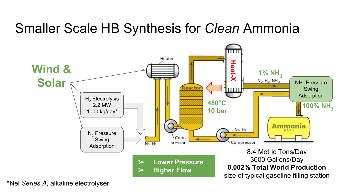### Smaller Scale HB Synthesis for *Clean* Ammonia



\*Nel *Series A,* alkaline electrolyser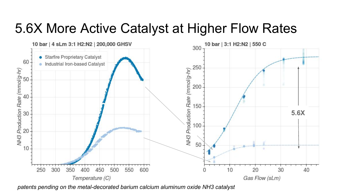### 5.6X More Active Catalyst at Higher Flow Rates



*patents pending on the metal-decorated barium calcium aluminum oxide NH3 catalyst*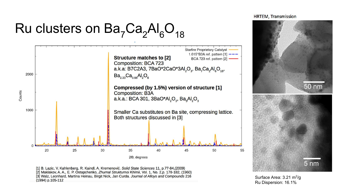## Ru clusters on  $Ba<sub>7</sub>Ca<sub>2</sub>Al<sub>6</sub>O<sub>18</sub>$



**HRTEM, Transmission** 



Surface Area: 3.21 m<sup>2</sup>/g Ru Dispersion: 16.1%

[1] B. Lazic, V. Kahlenberg, R. Kaindl, A. Kremenović. Solid State Sciences 11, p.77-84,(2009) [2] Maklakov, A. A., E. P. Ostapchenko, Zhurnal Strukturnoi Khimii, Vol. 1, No. 2,p. 178-182, (1960) [3] Walz, Leonhard, Martina Heinau, Birgit Nick, Jan Curda. Journal of Alloys and Compounds 216 (1994) p.105-112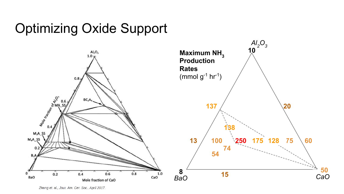### Optimizing Oxide Support



Zhang et. al., Jour. Am. Cer. Soc., April 2017.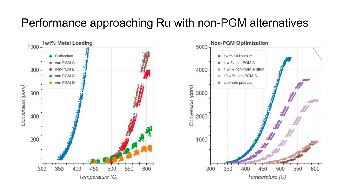#### Performance approaching Ru with non-PGM alternatives